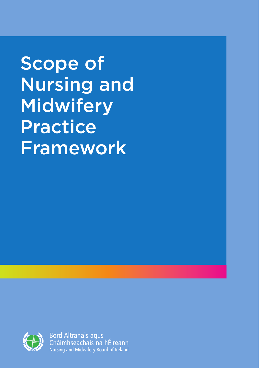Scope of Nursing and **Midwifery** Practice Framework



**Bord Altranais agus** Cnáimhseachais na hÉireann Nursing and Midwifery Board of Ireland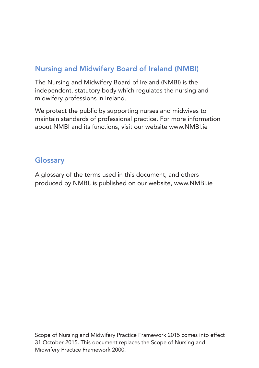## Nursing and Midwifery Board of Ireland (NMBI)

The Nursing and Midwifery Board of Ireland (NMBI) is the independent, statutory body which regulates the nursing and midwifery professions in Ireland.

We protect the public by supporting nurses and midwives to maintain standards of professional practice. For more information about NMBI and its functions, visit our website www.NMBI.ie

## **Glossary**

A glossary of the terms used in this document, and others produced by NMBI, is published on our website, www.NMBI.ie

Scope of Nursing and Midwifery Practice Framework 2015 comes into effect 31 October 2015. This document replaces the Scope of Nursing and Midwifery Practice Framework 2000.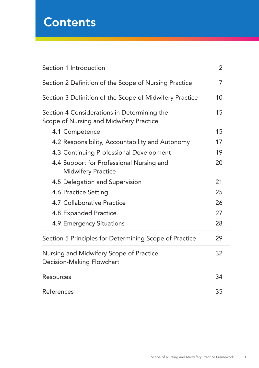# **Contents**

| Section 1 Introduction                                                                 |    |
|----------------------------------------------------------------------------------------|----|
| Section 2 Definition of the Scope of Nursing Practice                                  | 7  |
| Section 3 Definition of the Scope of Midwifery Practice                                | 10 |
| Section 4 Considerations in Determining the<br>Scope of Nursing and Midwifery Practice | 15 |
| 4.1 Competence                                                                         | 15 |
| 4.2 Responsibility, Accountability and Autonomy                                        | 17 |
| 4.3 Continuing Professional Development                                                | 19 |
| 4.4 Support for Professional Nursing and<br><b>Midwifery Practice</b>                  | 20 |
| 4.5 Delegation and Supervision                                                         | 21 |
| 4.6 Practice Setting                                                                   | 25 |
| 4.7 Collaborative Practice                                                             | 26 |
| 4.8 Expanded Practice                                                                  | 27 |
| 4.9 Emergency Situations                                                               | 28 |
| Section 5 Principles for Determining Scope of Practice                                 | 29 |
| Nursing and Midwifery Scope of Practice<br>Decision-Making Flowchart                   | 32 |
| Resources                                                                              | 34 |
| References                                                                             | 35 |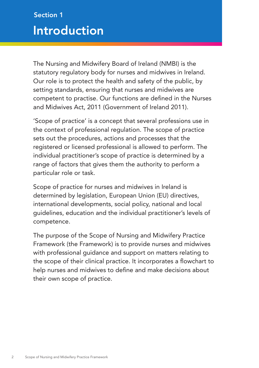## Introduction Section 1

The Nursing and Midwifery Board of Ireland (NMBI) is the statutory regulatory body for nurses and midwives in Ireland. Our role is to protect the health and safety of the public, by setting standards, ensuring that nurses and midwives are competent to practise. Our functions are defined in the Nurses and Midwives Act, 2011 (Government of Ireland 2011).

'Scope of practice' is a concept that several professions use in the context of professional regulation. The scope of practice sets out the procedures, actions and processes that the registered or licensed professional is allowed to perform. The individual practitioner's scope of practice is determined by a range of factors that gives them the authority to perform a particular role or task.

Scope of practice for nurses and midwives in Ireland is determined by legislation, European Union (EU) directives, international developments, social policy, national and local guidelines, education and the individual practitioner's levels of competence.

The purpose of the Scope of Nursing and Midwifery Practice Framework (the Framework) is to provide nurses and midwives with professional guidance and support on matters relating to the scope of their clinical practice. It incorporates a flowchart to help nurses and midwives to define and make decisions about their own scope of practice.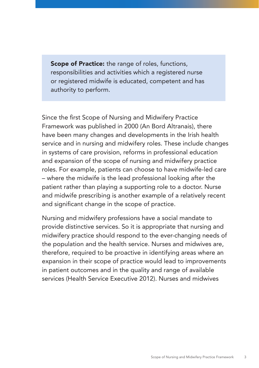Scope of Practice: the range of roles, functions, responsibilities and activities which a registered nurse or registered midwife is educated, competent and has authority to perform.

Since the first Scope of Nursing and Midwifery Practice Framework was published in 2000 (An Bord Altranais), there have been many changes and developments in the Irish health service and in nursing and midwifery roles. These include changes in systems of care provision, reforms in professional education and expansion of the scope of nursing and midwifery practice roles. For example, patients can choose to have midwife-led care – where the midwife is the lead professional looking after the patient rather than playing a supporting role to a doctor. Nurse and midwife prescribing is another example of a relatively recent and significant change in the scope of practice.

Nursing and midwifery professions have a social mandate to provide distinctive services. So it is appropriate that nursing and midwifery practice should respond to the ever-changing needs of the population and the health service. Nurses and midwives are, therefore, required to be proactive in identifying areas where an expansion in their scope of practice would lead to improvements in patient outcomes and in the quality and range of available services (Health Service Executive 2012). Nurses and midwives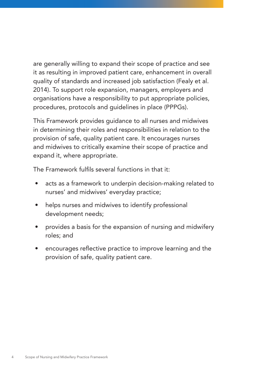are generally willing to expand their scope of practice and see it as resulting in improved patient care, enhancement in overall quality of standards and increased job satisfaction (Fealy et al. 2014). To support role expansion, managers, employers and organisations have a responsibility to put appropriate policies, procedures, protocols and guidelines in place (PPPGs).

This Framework provides guidance to all nurses and midwives in determining their roles and responsibilities in relation to the provision of safe, quality patient care. It encourages nurses and midwives to critically examine their scope of practice and expand it, where appropriate.

The Framework fulfils several functions in that it:

- acts as a framework to underpin decision-making related to nurses' and midwives' everyday practice;
- helps nurses and midwives to identify professional development needs;
- provides a basis for the expansion of nursing and midwifery roles; and
- encourages reflective practice to improve learning and the provision of safe, quality patient care.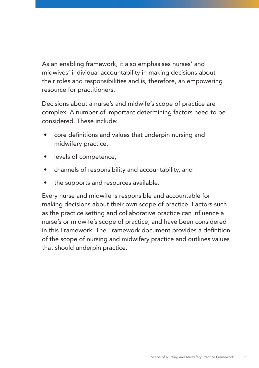As an enabling framework, it also emphasises nurses' and midwives' individual accountability in making decisions about their roles and responsibilities and is, therefore, an empowering resource for practitioners.

Decisions about a nurse's and midwife's scope of practice are complex. A number of important determining factors need to be considered. These include:

- core definitions and values that underpin nursing and midwifery practice,
- levels of competence,
- channels of responsibility and accountability, and
- the supports and resources available.

Every nurse and midwife is responsible and accountable for making decisions about their own scope of practice. Factors such as the practice setting and collaborative practice can influence a nurse's or midwife's scope of practice, and have been considered in this Framework. The Framework document provides a definition of the scope of nursing and midwifery practice and outlines values that should underpin practice.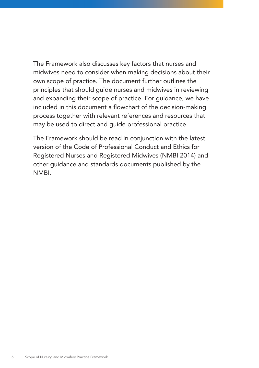The Framework also discusses key factors that nurses and midwives need to consider when making decisions about their own scope of practice. The document further outlines the principles that should guide nurses and midwives in reviewing and expanding their scope of practice. For guidance, we have included in this document a flowchart of the decision-making process together with relevant references and resources that may be used to direct and guide professional practice.

The Framework should be read in conjunction with the latest version of the Code of Professional Conduct and Ethics for Registered Nurses and Registered Midwives (NMBI 2014) and other guidance and standards documents published by the NMBI.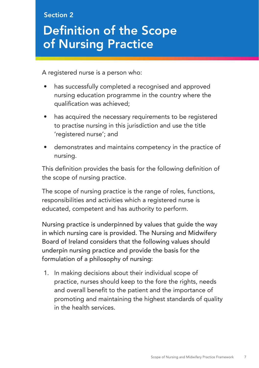### Section 2

# Definition of the Scope of Nursing Practice

A registered nurse is a person who:

- has successfully completed a recognised and approved nursing education programme in the country where the qualification was achieved;
- has acquired the necessary requirements to be registered to practise nursing in this jurisdiction and use the title 'registered nurse'; and
- demonstrates and maintains competency in the practice of nursing.

This definition provides the basis for the following definition of the scope of nursing practice.

The scope of nursing practice is the range of roles, functions, responsibilities and activities which a registered nurse is educated, competent and has authority to perform.

Nursing practice is underpinned by values that guide the way in which nursing care is provided. The Nursing and Midwifery Board of Ireland considers that the following values should underpin nursing practice and provide the basis for the formulation of a philosophy of nursing:

1. In making decisions about their individual scope of practice, nurses should keep to the fore the rights, needs and overall benefit to the patient and the importance of promoting and maintaining the highest standards of quality in the health services.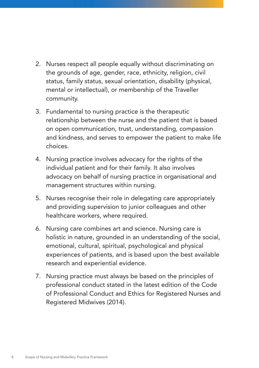- 2. Nurses respect all people equally without discriminating on the grounds of age, gender, race, ethnicity, religion, civil status, family status, sexual orientation, disability (physical, mental or intellectual), or membership of the Traveller community.
- 3. Fundamental to nursing practice is the therapeutic relationship between the nurse and the patient that is based on open communication, trust, understanding, compassion and kindness, and serves to empower the patient to make life choices.
- 4. Nursing practice involves advocacy for the rights of the individual patient and for their family. It also involves advocacy on behalf of nursing practice in organisational and management structures within nursing.
- 5. Nurses recognise their role in delegating care appropriately and providing supervision to junior colleagues and other healthcare workers, where required.
- 6. Nursing care combines art and science. Nursing care is holistic in nature, grounded in an understanding of the social, emotional, cultural, spiritual, psychological and physical experiences of patients, and is based upon the best available research and experiential evidence.
- 7. Nursing practice must always be based on the principles of professional conduct stated in the latest edition of the Code of Professional Conduct and Ethics for Registered Nurses and Registered Midwives (2014).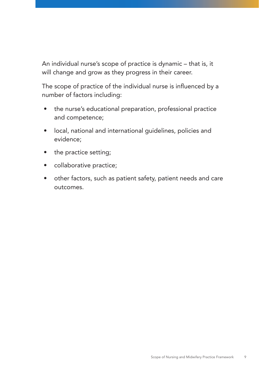An individual nurse's scope of practice is dynamic – that is, it will change and grow as they progress in their career.

The scope of practice of the individual nurse is influenced by a number of factors including:

- the nurse's educational preparation, professional practice and competence;
- local, national and international guidelines, policies and evidence;
- the practice setting;
- collaborative practice;
- other factors, such as patient safety, patient needs and care outcomes.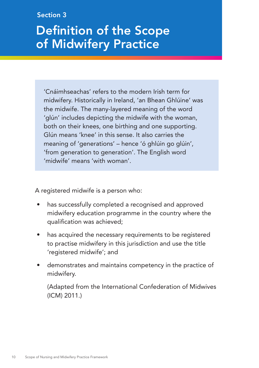### Section 3

# Definition of the Scope of Midwifery Practice

'Cnáimhseachas' refers to the modern Irish term for midwifery. Historically in Ireland, 'an Bhean Ghlúine' was the midwife. The many-layered meaning of the word 'glún' includes depicting the midwife with the woman, both on their knees, one birthing and one supporting. Glún means 'knee' in this sense. It also carries the meaning of 'generations' – hence 'ó ghlúin go glúin', 'from generation to generation'. The English word 'midwife' means 'with woman'.

A registered midwife is a person who:

- has successfully completed a recognised and approved midwifery education programme in the country where the qualification was achieved;
- has acquired the necessary requirements to be registered to practise midwifery in this jurisdiction and use the title 'registered midwife'; and
- demonstrates and maintains competency in the practice of midwifery.

(Adapted from the International Confederation of Midwives (ICM) 2011.)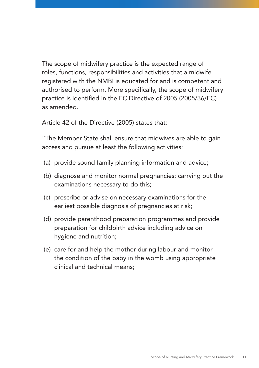The scope of midwifery practice is the expected range of roles, functions, responsibilities and activities that a midwife registered with the NMBI is educated for and is competent and authorised to perform. More specifically, the scope of midwifery practice is identified in the EC Directive of 2005 (2005/36/EC) as amended.

Article 42 of the Directive (2005) states that:

"The Member State shall ensure that midwives are able to gain access and pursue at least the following activities:

- (a) provide sound family planning information and advice;
- (b) diagnose and monitor normal pregnancies; carrying out the examinations necessary to do this;
- (c) prescribe or advise on necessary examinations for the earliest possible diagnosis of pregnancies at risk;
- (d) provide parenthood preparation programmes and provide preparation for childbirth advice including advice on hygiene and nutrition;
- (e) care for and help the mother during labour and monitor the condition of the baby in the womb using appropriate clinical and technical means;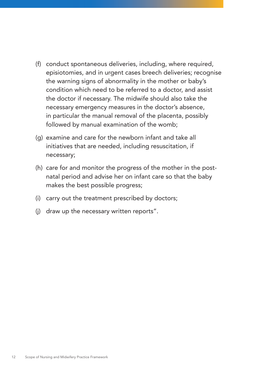- (f) conduct spontaneous deliveries, including, where required, episiotomies, and in urgent cases breech deliveries; recognise the warning signs of abnormality in the mother or baby's condition which need to be referred to a doctor, and assist the doctor if necessary. The midwife should also take the necessary emergency measures in the doctor's absence, in particular the manual removal of the placenta, possibly followed by manual examination of the womb;
- (g) examine and care for the newborn infant and take all initiatives that are needed, including resuscitation, if necessary;
- (h) care for and monitor the progress of the mother in the postnatal period and advise her on infant care so that the baby makes the best possible progress;
- (i) carry out the treatment prescribed by doctors;
- (j) draw up the necessary written reports".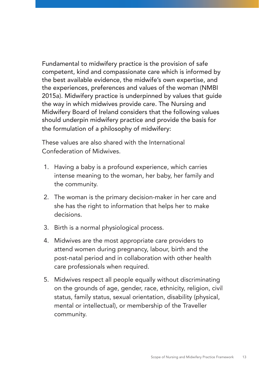Fundamental to midwifery practice is the provision of safe competent, kind and compassionate care which is informed by the best available evidence, the midwife's own expertise, and the experiences, preferences and values of the woman (NMBI 2015a). Midwifery practice is underpinned by values that guide the way in which midwives provide care. The Nursing and Midwifery Board of Ireland considers that the following values should underpin midwifery practice and provide the basis for the formulation of a philosophy of midwifery:

These values are also shared with the International Confederation of Midwives.

- 1. Having a baby is a profound experience, which carries intense meaning to the woman, her baby, her family and the community.
- 2. The woman is the primary decision-maker in her care and she has the right to information that helps her to make decisions.
- 3. Birth is a normal physiological process.
- 4. Midwives are the most appropriate care providers to attend women during pregnancy, labour, birth and the post-natal period and in collaboration with other health care professionals when required.
- 5. Midwives respect all people equally without discriminating on the grounds of age, gender, race, ethnicity, religion, civil status, family status, sexual orientation, disability (physical, mental or intellectual), or membership of the Traveller community.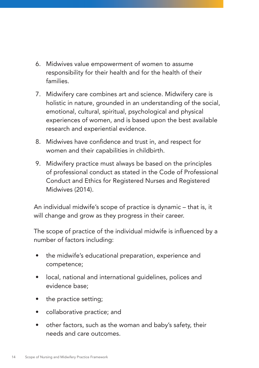- 6. Midwives value empowerment of women to assume responsibility for their health and for the health of their families.
- 7. Midwifery care combines art and science. Midwifery care is holistic in nature, grounded in an understanding of the social, emotional, cultural, spiritual, psychological and physical experiences of women, and is based upon the best available research and experiential evidence.
- 8. Midwives have confidence and trust in, and respect for women and their capabilities in childbirth.
- 9. Midwifery practice must always be based on the principles of professional conduct as stated in the Code of Professional Conduct and Ethics for Registered Nurses and Registered Midwives (2014).

An individual midwife's scope of practice is dynamic – that is, it will change and grow as they progress in their career.

The scope of practice of the individual midwife is influenced by a number of factors including:

- the midwife's educational preparation, experience and competence;
- local, national and international guidelines, polices and evidence base;
- the practice setting;
- collaborative practice; and
- other factors, such as the woman and baby's safety, their needs and care outcomes.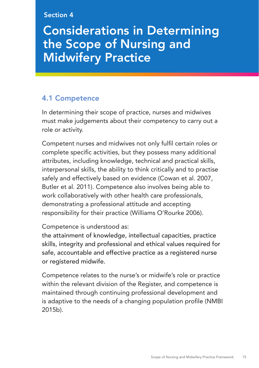#### Section 4

## Considerations in Determining the Scope of Nursing and Midwifery Practice

## 4.1 Competence

In determining their scope of practice, nurses and midwives must make judgements about their competency to carry out a role or activity.

Competent nurses and midwives not only fulfil certain roles or complete specific activities, but they possess many additional attributes, including knowledge, technical and practical skills, interpersonal skills, the ability to think critically and to practise safely and effectively based on evidence (Cowan et al. 2007, Butler et al. 2011). Competence also involves being able to work collaboratively with other health care professionals, demonstrating a professional attitude and accepting responsibility for their practice (Williams O'Rourke 2006).

Competence is understood as:

the attainment of knowledge, intellectual capacities, practice skills, integrity and professional and ethical values required for safe, accountable and effective practice as a registered nurse or registered midwife.

Competence relates to the nurse's or midwife's role or practice within the relevant division of the Register, and competence is maintained through continuing professional development and is adaptive to the needs of a changing population profile (NMBI 2015b).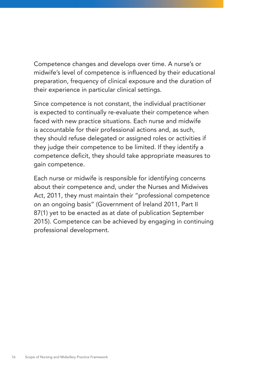Competence changes and develops over time. A nurse's or midwife's level of competence is influenced by their educational preparation, frequency of clinical exposure and the duration of their experience in particular clinical settings.

Since competence is not constant, the individual practitioner is expected to continually re-evaluate their competence when faced with new practice situations. Each nurse and midwife is accountable for their professional actions and, as such, they should refuse delegated or assigned roles or activities if they judge their competence to be limited. If they identify a competence deficit, they should take appropriate measures to gain competence.

Each nurse or midwife is responsible for identifying concerns about their competence and, under the Nurses and Midwives Act, 2011, they must maintain their "professional competence on an ongoing basis" (Government of Ireland 2011, Part II 87(1) yet to be enacted as at date of publication September 2015). Competence can be achieved by engaging in continuing professional development.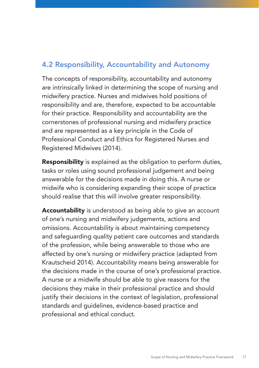## 4.2 Responsibility, Accountability and Autonomy

The concepts of responsibility, accountability and autonomy are intrinsically linked in determining the scope of nursing and midwifery practice. Nurses and midwives hold positions of responsibility and are, therefore, expected to be accountable for their practice. Responsibility and accountability are the cornerstones of professional nursing and midwifery practice and are represented as a key principle in the Code of Professional Conduct and Ethics for Registered Nurses and Registered Midwives (2014).

**Responsibility** is explained as the obligation to perform duties, tasks or roles using sound professional judgement and being answerable for the decisions made in doing this. A nurse or midwife who is considering expanding their scope of practice should realise that this will involve greater responsibility.

Accountability is understood as being able to give an account of one's nursing and midwifery judgements, actions and omissions. Accountability is about maintaining competency and safeguarding quality patient care outcomes and standards of the profession, while being answerable to those who are affected by one's nursing or midwifery practice (adapted from Krautscheid 2014). Accountability means being answerable for the decisions made in the course of one's professional practice. A nurse or a midwife should be able to give reasons for the decisions they make in their professional practice and should justify their decisions in the context of legislation, professional standards and guidelines, evidence-based practice and professional and ethical conduct.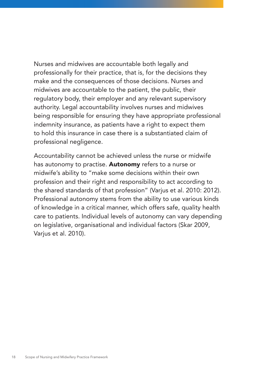Nurses and midwives are accountable both legally and professionally for their practice, that is, for the decisions they make and the consequences of those decisions. Nurses and midwives are accountable to the patient, the public, their regulatory body, their employer and any relevant supervisory authority. Legal accountability involves nurses and midwives being responsible for ensuring they have appropriate professional indemnity insurance, as patients have a right to expect them to hold this insurance in case there is a substantiated claim of professional negligence.

Accountability cannot be achieved unless the nurse or midwife has autonomy to practise. Autonomy refers to a nurse or midwife's ability to "make some decisions within their own profession and their right and responsibility to act according to the shared standards of that profession" (Varjus et al. 2010: 2012). Professional autonomy stems from the ability to use various kinds of knowledge in a critical manner, which offers safe, quality health care to patients. Individual levels of autonomy can vary depending on legislative, organisational and individual factors (Skar 2009, Varjus et al. 2010).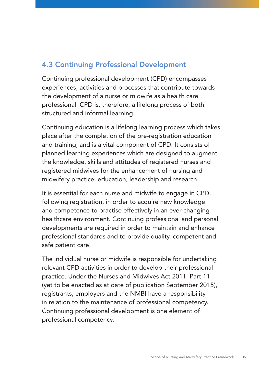## 4.3 Continuing Professional Development

Continuing professional development (CPD) encompasses experiences, activities and processes that contribute towards the development of a nurse or midwife as a health care professional. CPD is, therefore, a lifelong process of both structured and informal learning.

Continuing education is a lifelong learning process which takes place after the completion of the pre-registration education and training, and is a vital component of CPD. It consists of planned learning experiences which are designed to augment the knowledge, skills and attitudes of registered nurses and registered midwives for the enhancement of nursing and midwifery practice, education, leadership and research.

It is essential for each nurse and midwife to engage in CPD, following registration, in order to acquire new knowledge and competence to practise effectively in an ever-changing healthcare environment. Continuing professional and personal developments are required in order to maintain and enhance professional standards and to provide quality, competent and safe patient care.

The individual nurse or midwife is responsible for undertaking relevant CPD activities in order to develop their professional practice. Under the Nurses and Midwives Act 2011, Part 11 (yet to be enacted as at date of publication September 2015), registrants, employers and the NMBI have a responsibility in relation to the maintenance of professional competency. Continuing professional development is one element of professional competency.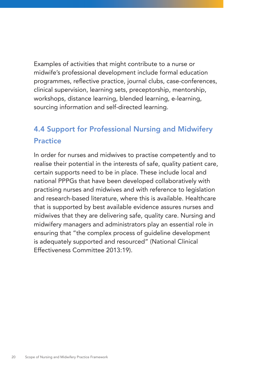Examples of activities that might contribute to a nurse or midwife's professional development include formal education programmes, reflective practice, journal clubs, case-conferences, clinical supervision, learning sets, preceptorship, mentorship, workshops, distance learning, blended learning, e-learning, sourcing information and self-directed learning.

## 4.4 Support for Professional Nursing and Midwifery **Practice**

In order for nurses and midwives to practise competently and to realise their potential in the interests of safe, quality patient care, certain supports need to be in place. These include local and national PPPGs that have been developed collaboratively with practising nurses and midwives and with reference to legislation and research-based literature, where this is available. Healthcare that is supported by best available evidence assures nurses and midwives that they are delivering safe, quality care. Nursing and midwifery managers and administrators play an essential role in ensuring that "the complex process of guideline development is adequately supported and resourced" (National Clinical Effectiveness Committee 2013:19).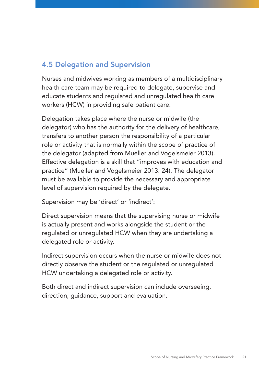## 4.5 Delegation and Supervision

Nurses and midwives working as members of a multidisciplinary health care team may be required to delegate, supervise and educate students and regulated and unregulated health care workers (HCW) in providing safe patient care.

Delegation takes place where the nurse or midwife (the delegator) who has the authority for the delivery of healthcare, transfers to another person the responsibility of a particular role or activity that is normally within the scope of practice of the delegator (adapted from Mueller and Vogelsmeier 2013). Effective delegation is a skill that "improves with education and practice" (Mueller and Vogelsmeier 2013: 24). The delegator must be available to provide the necessary and appropriate level of supervision required by the delegate.

Supervision may be 'direct' or 'indirect':

Direct supervision means that the supervising nurse or midwife is actually present and works alongside the student or the regulated or unregulated HCW when they are undertaking a delegated role or activity.

Indirect supervision occurs when the nurse or midwife does not directly observe the student or the regulated or unregulated HCW undertaking a delegated role or activity.

Both direct and indirect supervision can include overseeing, direction, guidance, support and evaluation.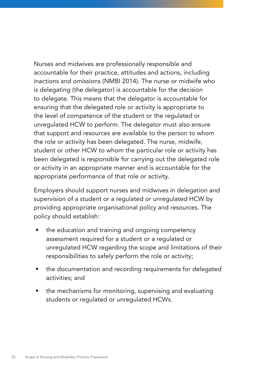Nurses and midwives are professionally responsible and accountable for their practice, attitudes and actions, including inactions and omissions (NMBI 2014). The nurse or midwife who is delegating (the delegator) is accountable for the decision to delegate. This means that the delegator is accountable for ensuring that the delegated role or activity is appropriate to the level of competence of the student or the regulated or unregulated HCW to perform. The delegator must also ensure that support and resources are available to the person to whom the role or activity has been delegated. The nurse, midwife, student or other HCW to whom the particular role or activity has been delegated is responsible for carrying out the delegated role or activity in an appropriate manner and is accountable for the appropriate performance of that role or activity.

Employers should support nurses and midwives in delegation and supervision of a student or a regulated or unregulated HCW by providing appropriate organisational policy and resources. The policy should establish:

- the education and training and ongoing competency assessment required for a student or a regulated or unregulated HCW regarding the scope and limitations of their responsibilities to safely perform the role or activity;
- the documentation and recording requirements for delegated activities; and
- the mechanisms for monitoring, supervising and evaluating students or regulated or unregulated HCWs.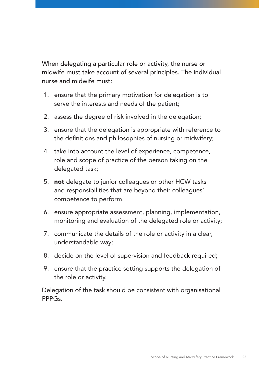When delegating a particular role or activity, the nurse or midwife must take account of several principles. The individual nurse and midwife must:

- 1. ensure that the primary motivation for delegation is to serve the interests and needs of the patient;
- 2. assess the degree of risk involved in the delegation;
- 3. ensure that the delegation is appropriate with reference to the definitions and philosophies of nursing or midwifery;
- 4. take into account the level of experience, competence, role and scope of practice of the person taking on the delegated task;
- 5. **not** delegate to junior colleagues or other HCW tasks and responsibilities that are beyond their colleagues' competence to perform.
- 6. ensure appropriate assessment, planning, implementation, monitoring and evaluation of the delegated role or activity;
- 7. communicate the details of the role or activity in a clear, understandable way;
- 8. decide on the level of supervision and feedback required;
- 9. ensure that the practice setting supports the delegation of the role or activity.

Delegation of the task should be consistent with organisational PPPGs.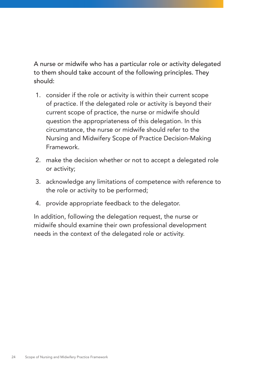A nurse or midwife who has a particular role or activity delegated to them should take account of the following principles. They should:

- 1. consider if the role or activity is within their current scope of practice. If the delegated role or activity is beyond their current scope of practice, the nurse or midwife should question the appropriateness of this delegation. In this circumstance, the nurse or midwife should refer to the Nursing and Midwifery Scope of Practice Decision-Making Framework.
- 2. make the decision whether or not to accept a delegated role or activity;
- 3. acknowledge any limitations of competence with reference to the role or activity to be performed;
- 4. provide appropriate feedback to the delegator.

In addition, following the delegation request, the nurse or midwife should examine their own professional development needs in the context of the delegated role or activity.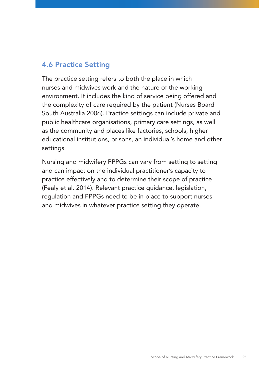## 4.6 Practice Setting

The practice setting refers to both the place in which nurses and midwives work and the nature of the working environment. It includes the kind of service being offered and the complexity of care required by the patient (Nurses Board South Australia 2006). Practice settings can include private and public healthcare organisations, primary care settings, as well as the community and places like factories, schools, higher educational institutions, prisons, an individual's home and other settings.

Nursing and midwifery PPPGs can vary from setting to setting and can impact on the individual practitioner's capacity to practice effectively and to determine their scope of practice (Fealy et al. 2014). Relevant practice guidance, legislation, regulation and PPPGs need to be in place to support nurses and midwives in whatever practice setting they operate.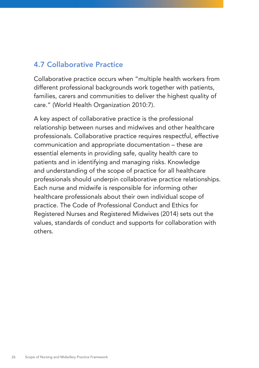## 4.7 Collaborative Practice

Collaborative practice occurs when "multiple health workers from different professional backgrounds work together with patients, families, carers and communities to deliver the highest quality of care." (World Health Organization 2010:7).

A key aspect of collaborative practice is the professional relationship between nurses and midwives and other healthcare professionals. Collaborative practice requires respectful, effective communication and appropriate documentation – these are essential elements in providing safe, quality health care to patients and in identifying and managing risks. Knowledge and understanding of the scope of practice for all healthcare professionals should underpin collaborative practice relationships. Each nurse and midwife is responsible for informing other healthcare professionals about their own individual scope of practice. The Code of Professional Conduct and Ethics for Registered Nurses and Registered Midwives (2014) sets out the values, standards of conduct and supports for collaboration with others.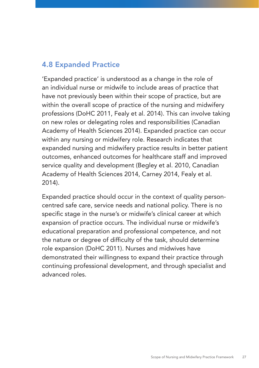### 4.8 Expanded Practice

'Expanded practice' is understood as a change in the role of an individual nurse or midwife to include areas of practice that have not previously been within their scope of practice, but are within the overall scope of practice of the nursing and midwifery professions (DoHC 2011, Fealy et al. 2014). This can involve taking on new roles or delegating roles and responsibilities (Canadian Academy of Health Sciences 2014). Expanded practice can occur within any nursing or midwifery role. Research indicates that expanded nursing and midwifery practice results in better patient outcomes, enhanced outcomes for healthcare staff and improved service quality and development (Begley et al. 2010, Canadian Academy of Health Sciences 2014, Carney 2014, Fealy et al. 2014).

Expanded practice should occur in the context of quality personcentred safe care, service needs and national policy. There is no specific stage in the nurse's or midwife's clinical career at which expansion of practice occurs. The individual nurse or midwife's educational preparation and professional competence, and not the nature or degree of difficulty of the task, should determine role expansion (DoHC 2011). Nurses and midwives have demonstrated their willingness to expand their practice through continuing professional development, and through specialist and advanced roles.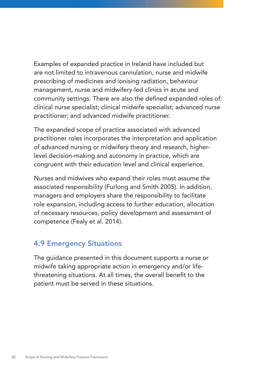Examples of expanded practice in Ireland have included but are not limited to intravenous cannulation, nurse and midwife prescribing of medicines and ionising radiation, behaviour management, nurse and midwifery-led clinics in acute and community settings. There are also the defined expanded roles of: clinical nurse specialist; clinical midwife specialist; advanced nurse practitioner; and advanced midwife practitioner.

The expanded scope of practice associated with advanced practitioner roles incorporates the interpretation and application of advanced nursing or midwifery theory and research, higherlevel decision-making and autonomy in practice, which are congruent with their education level and clinical experience.

Nurses and midwives who expand their roles must assume the associated responsibility (Furlong and Smith 2005). In addition, managers and employers share the responsibility to facilitate role expansion, including access to further education, allocation of necessary resources, policy development and assessment of competence (Fealy et al. 2014).

### 4.9 Emergency Situations

The guidance presented in this document supports a nurse or midwife taking appropriate action in emergency and/or lifethreatening situations. At all times, the overall benefit to the patient must be served in these situations.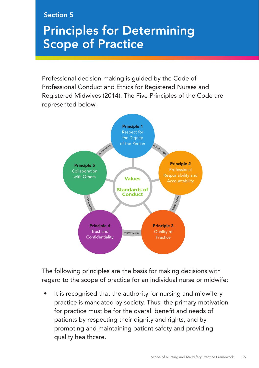#### Section 5

# Principles for Determining Scope of Practice

Professional decision-making is guided by the Code of Professional Conduct and Ethics for Registered Nurses and Registered Midwives (2014). The Five Principles of the Code are represented below.



The following principles are the basis for making decisions with regard to the scope of practice for an individual nurse or midwife:

It is recognised that the authority for nursing and midwifery practice is mandated by society. Thus, the primary motivation for practice must be for the overall benefit and needs of patients by respecting their dignity and rights, and by promoting and maintaining patient safety and providing quality healthcare.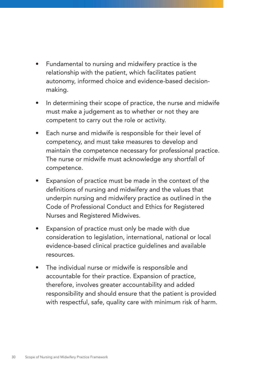- Fundamental to nursing and midwifery practice is the relationship with the patient, which facilitates patient autonomy, informed choice and evidence-based decisionmaking.
- In determining their scope of practice, the nurse and midwife must make a judgement as to whether or not they are competent to carry out the role or activity.
- Each nurse and midwife is responsible for their level of competency, and must take measures to develop and maintain the competence necessary for professional practice. The nurse or midwife must acknowledge any shortfall of competence.
- Expansion of practice must be made in the context of the definitions of nursing and midwifery and the values that underpin nursing and midwifery practice as outlined in the Code of Professional Conduct and Ethics for Registered Nurses and Registered Midwives.
- Expansion of practice must only be made with due consideration to legislation, international, national or local evidence-based clinical practice guidelines and available resources.
- The individual nurse or midwife is responsible and accountable for their practice. Expansion of practice, therefore, involves greater accountability and added responsibility and should ensure that the patient is provided with respectful, safe, quality care with minimum risk of harm.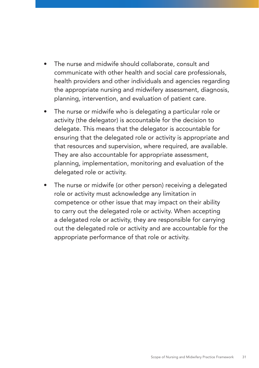- The nurse and midwife should collaborate, consult and communicate with other health and social care professionals, health providers and other individuals and agencies regarding the appropriate nursing and midwifery assessment, diagnosis, planning, intervention, and evaluation of patient care.
- The nurse or midwife who is delegating a particular role or activity (the delegator) is accountable for the decision to delegate. This means that the delegator is accountable for ensuring that the delegated role or activity is appropriate and that resources and supervision, where required, are available. They are also accountable for appropriate assessment, planning, implementation, monitoring and evaluation of the delegated role or activity.
- The nurse or midwife (or other person) receiving a delegated role or activity must acknowledge any limitation in competence or other issue that may impact on their ability to carry out the delegated role or activity. When accepting a delegated role or activity, they are responsible for carrying out the delegated role or activity and are accountable for the appropriate performance of that role or activity.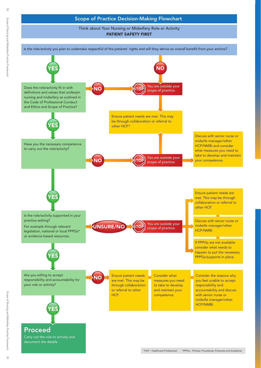### Scope of Practice Decision-Making Flowchart

Think about Your Nursing or Midwifery Role or Activity PATIENT SAFETY FIRST

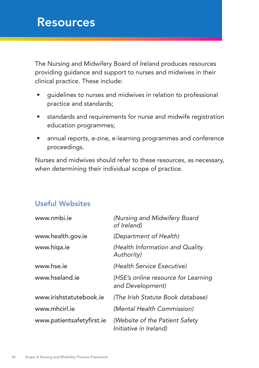## Resources

The Nursing and Midwifery Board of Ireland produces resources providing guidance and support to nurses and midwives in their clinical practice. These include:

- guidelines to nurses and midwives in relation to professional practice and standards;
- standards and requirements for nurse and midwife registration education programmes;
- annual reports, e-zine, e-learning programmes and conference proceedings.

Nurses and midwives should refer to these resources, as necessary, when determining their individual scope of practice.

## Useful Websites

| www.nmbi.ie               | (Nursing and Midwifery Board<br>of Ireland)              |
|---------------------------|----------------------------------------------------------|
| www.health.gov.ie         | (Department of Health)                                   |
| www.higa.ie               | (Health Information and Quality<br>Authority)            |
| www.hse.ie                | (Health Service Executive)                               |
| www.hseland.je            | (HSE's online resource for Learning<br>and Development)  |
| www.irishstatutebook.ie   | (The Irish Statute Book database)                        |
| www.mhcirl.je             | (Mental Health Commission)                               |
| www.patientsafetyfirst.ie | (Website of the Patient Safety<br>Initiative in Ireland) |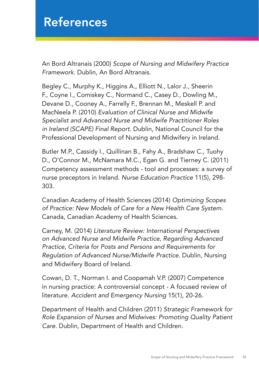## References

An Bord Altranais (2000) *Scope of Nursing and Midwifery Practice Framework*. Dublin, An Bord Altranais.

Begley C., Murphy K., Higgins A., Elliott N., Lalor J., Sheerin F., Coyne I., Comiskey C., Normand C., Casey D., Dowling M., Devane D., Cooney A., Farrelly F., Brennan M., Meskell P. and MacNeela P. (2010) *Evaluation of Clinical Nurse and Midwife Specialist and Advanced Nurse and Midwife Practitioner Roles in Ireland (SCAPE) Final Report.* Dublin, National Council for the Professional Development of Nursing and Midwifery in Ireland.

Butler M.P., Cassidy I., Quillinan B., Fahy A., Bradshaw C., Tuohy D., O'Connor M., McNamara M.C., Egan G. and Tierney C. (2011) Competency assessment methods - tool and processes: a survey of nurse preceptors in Ireland. *Nurse Education Practice* 11(5), 298- 303.

Canadian Academy of Health Sciences (2014) *Optimizing Scopes of Practice: New Models of Care for a New Health Care System.*  Canada, Canadian Academy of Health Sciences.

Carney, M. (2014) *Literature Review: International Perspectives on Advanced Nurse and Midwife Practice, Regarding Advanced Practice, Criteria for Posts and Persons and Requirements for Regulation of Advanced Nurse/Midwife Practice.* Dublin, Nursing and Midwifery Board of Ireland.

Cowan, D. T., Norman I. and Coopamah V.P. (2007) Competence in nursing practice: A controversial concept - A focused review of literature. *Accident and Emergency Nursing* 15(1), 20-26.

Department of Health and Children (2011) *Strategic Framework for Role Expansion of Nurses and Midwives: Promoting Quality Patient Care.* Dublin, Department of Health and Children.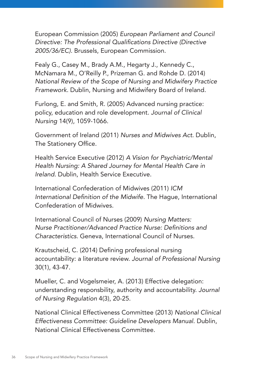European Commission (2005) *European Parliament and Council*  Directive: The Professional Qualifications Directive (Directive *2005/36/EC).* Brussels, European Commission.

Fealy G., Casey M., Brady A.M., Hegarty J., Kennedy C., McNamara M., O'Reilly P., Prizeman G. and Rohde D. (2014) *National Review of the Scope of Nursing and Midwifery Practice Framework.* Dublin, Nursing and Midwifery Board of Ireland.

Furlong, E. and Smith, R. (2005) Advanced nursing practice: policy, education and role development. *Journal of Clinical Nursing* 14(9), 1059-1066.

Government of Ireland (2011) *Nurses and Midwives Act.* Dublin, The Stationery Office.

Health Service Executive (2012) *A Vision for Psychiatric/Mental Health Nursing: A Shared Journey for Mental Health Care in Ireland.* Dublin, Health Service Executive.

International Confederation of Midwives (2011) *ICM*  International Definition of the Midwife. The Hague, International Confederation of Midwives.

International Council of Nurses (2009) *Nursing Matters:*  Nurse Practitioner/Advanced Practice Nurse: Definitions and *Characteristics.* Geneva, International Council of Nurses.

Krautscheid, C. (2014) Defining professional nursing accountability: a literature review. *Journal of Professional Nursing* 30(1), 43-47.

Mueller, C. and Vogelsmeier, A. (2013) Effective delegation: understanding responsbility, authority and accountability. *Journal of Nursing Regulation* 4(3), 20-25.

National Clinical Effectiveness Committee (2013) *National Clinical Effectiveness Committee: Guideline Developers Manual.* Dublin, National Clinical Effectiveness Committee.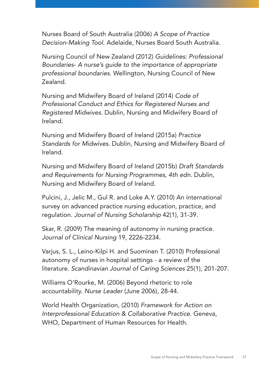Nurses Board of South Australia (2006) *A Scope of Practice Decision-Making Tool.* Adelaide, Nurses Board South Australia.

Nursing Council of New Zealand (2012) *Guidelines: Professional Boundaries- A nurse's guide to the importance of appropriate professional boundaries.* Wellington, Nursing Council of New Zealand.

Nursing and Midwifery Board of Ireland (2014) *Code of Professional Conduct and Ethics for Registered Nurses and Registered Midwives.* Dublin, Nursing and Midwifery Board of Ireland.

Nursing and Midwifery Board of Ireland (2015a) *Practice Standards for Midwives.* Dublin, Nursing and Midwifery Board of Ireland.

Nursing and Midwifery Board of Ireland (2015b) *Draft Standards and Requirements for Nursing Programmes, 4th edn.* Dublin, Nursing and Midwifery Board of Ireland.

Pulcini, J., Jelic M., Gul R. and Loke A.Y. (2010) An international survey on advanced practice nursing education, practice, and regulation. *Journal of Nursing Scholarship* 42(1), 31-39.

Skar, R. (2009) The meaning of autonomy in nursing practice. *Journal of Clinical Nursing* 19, 2226-2234.

Varjus, S. L., Leino-Kilpi H. and Suominen T. (2010) Professional autonomy of nurses in hospital settings - a review of the literature. *Scandinavian Journal of Caring Sciences* 25(1), 201-207.

Williams O'Rourke, M. (2006) Beyond rhetoric to role accountability. *Nurse Leader* (June 2006), 28-44.

World Health Organization, (2010) *Framework for Action on Interprofessional Education & Collaborative Practice.* Geneva, WHO, Department of Human Resources for Health.